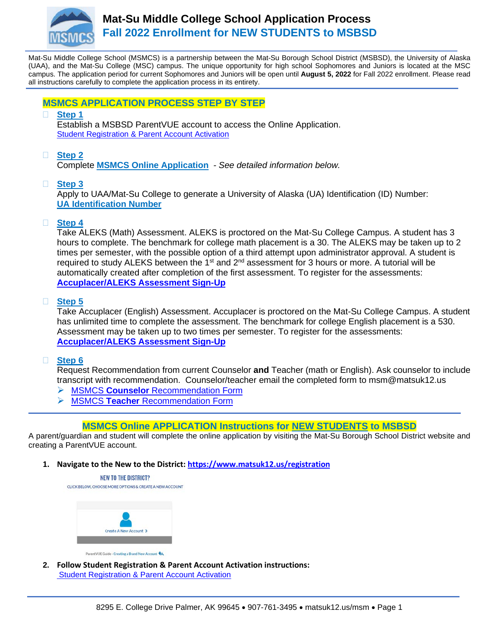

Mat-Su Middle College School (MSMCS) is a partnership between the Mat-Su Borough School District (MSBSD), the University of Alaska (UAA), and the Mat-Su College (MSC) campus. The unique opportunity for high school Sophomores and Juniors is located at the MSC campus. The application period for current Sophomores and Juniors will be open until **August 5, 2022** for Fall 2022 enrollment. Please read all instructions carefully to complete the application process in its entirety.

### **MSMCS APPLICATION PROCESS STEP BY STEP**

**Step 1** 

Establish a MSBSD ParentVUE account to access the Online Application. Student Registration & Parent Account Activation

## **Step 2**

Complete **[MSMCS Online Application](https://www.matsuk12.us/registration)** *- See detailed information below.* 

**Step 3**

Apply to UAA/Mat-Su College to generate a University of Alaska (UA) Identification (ID) Number: **[UA Identification Number](https://matsu.alaska.edu/future-students/msmc.cshtml)**

### **Step 4**

Take ALEKS (Math) Assessment. ALEKS is proctored on the Mat-Su College Campus. A student has 3 hours to complete. The benchmark for college math placement is a 30. The ALEKS may be taken up to 2 times per semester, with the possible option of a third attempt upon administrator approval. A student is required to study ALEKS between the 1<sup>st</sup> and 2<sup>nd</sup> assessment for 3 hours or more. A tutorial will be automatically created after completion of the first assessment. To register for the assessments: **[Accuplacer/ALEKS Assessment Sign-Up](https://form.jotform.com/220457689036160)**

### **Step 5**

Take Accuplacer (English) Assessment. Accuplacer is proctored on the Mat-Su College Campus. A student has unlimited time to complete the assessment. The benchmark for college English placement is a 530. Assessment may be taken up to two times per semester. To register for the assessments: **[Accuplacer/ALEKS Assessment Sign-Up](https://form.jotform.com/220457689036160)**

### **Step 6**

Request Recommendation from current Counselor **and** Teacher (math or English). Ask counselor to include transcript with recommendation. Counselor/teacher email the completed form to msm@matsuk12.us

- MSMCS **Counselor** [Recommendation Form](https://www.matsuk12.us/cms/lib/AK01000953/Centricity/Domain/6899/teacher%20recommendation.pdf)
- MSMCS **Teacher** [Recommendation Form](https://www.matsuk12.us/cms/lib/AK01000953/Centricity/Domain/6899/teacher%20recommendation.pdf)

# **MSMCS Online APPLICATION Instructions for NEW STUDENTS to MSBSD**

A parent/guardian and student will complete the online application by visiting the Mat-Su Borough School District website and creating a ParentVUE account.

**1. Navigate to the New to the District:<https://www.matsuk12.us/registration>**



ParentVUE Guide - Creating a Brand New Account

**2. Follow Student Registration & Parent Account Activation instructions:** [Student Registration & Parent Account Activation](file://ad.matsuk12.us/dfsdrive/SHARE/MSM/MSM_STAFF_SHARE/FY%2022%20MSMCS/FY%2022%20Application/ParentVUE%20Guide%20-%20Create%20an%20Account%20for%20Brand%20New%20Family.pdf)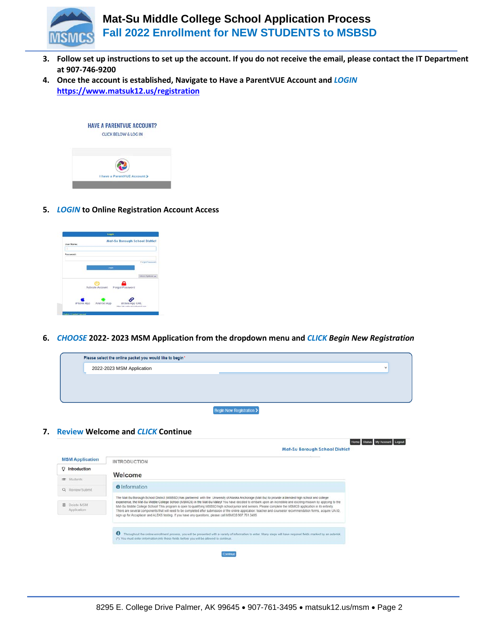

- **3. Follow set up instructions to set up the account. If you do not receive the email, please contact the IT Department at 907-746-9200**
- **4. Once the account is established, Navigate to Have a ParentVUE Account and** *LOGIN* **<https://www.matsuk12.us/registration>**



**5.** *LOGIN* **to Online Registration Account Access**



**6.** *CHOOSE* **2022- 2023 MSM Application from the dropdown menu and** *CLICK Begin New Registration*



**7. Review Welcome and** *CLICK* **Continue**

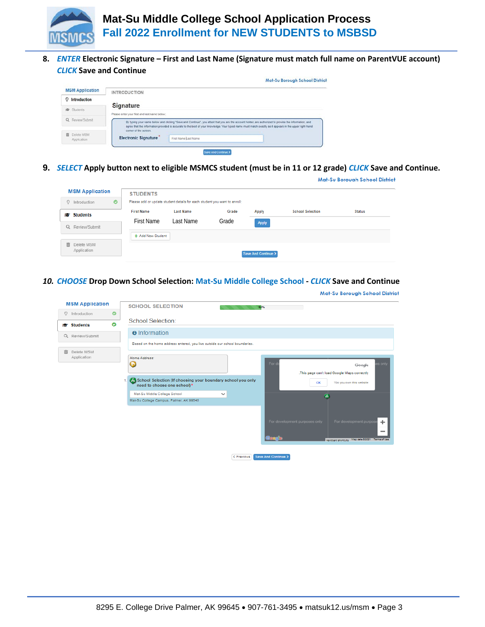

**8.** *ENTER* **Electronic Signature – First and Last Name (Signature must match full name on ParentVUE account)**  *CLICK* **Save and Continue**

| <b>MSM Application</b>             | <b>INTRODUCTION</b>                          |                                                                                                                                                                                                                                                                                                                   |  |
|------------------------------------|----------------------------------------------|-------------------------------------------------------------------------------------------------------------------------------------------------------------------------------------------------------------------------------------------------------------------------------------------------------------------|--|
| <b>Q</b> Introduction              |                                              |                                                                                                                                                                                                                                                                                                                   |  |
| Students                           | <b>Signature</b>                             |                                                                                                                                                                                                                                                                                                                   |  |
|                                    | Please enter your first and last name below: |                                                                                                                                                                                                                                                                                                                   |  |
| Q Review/Submit                    | corner of the screen.                        | By typing your name below and clicking "Save and Continue", you atlest that you are the account holder, are authorized to provide the information, and<br>agree that the information provided is accurate to the best of your knowledge. Your typed name must match exactly as it appears in the upper right-hand |  |
| <b>高 Delete MSM</b><br>Application | <b>Electronic Signature</b>                  | First Name Last Name                                                                                                                                                                                                                                                                                              |  |

**9.** *SELECT* **Apply button next to eligible MSMCS student (must be in 11 or 12 grade)** *CLICK* **Save and Continue.**

|                  |                                                           |                                                                           |                              | <b>Mat-Su Borough School District</b> |
|------------------|-----------------------------------------------------------|---------------------------------------------------------------------------|------------------------------|---------------------------------------|
|                  |                                                           |                                                                           |                              |                                       |
|                  |                                                           |                                                                           |                              |                                       |
| <b>Last Name</b> | Grade                                                     | <b>Apply</b>                                                              | <b>School Selection</b>      | <b>Status</b>                         |
| Last Name        | Grade                                                     |                                                                           |                              |                                       |
|                  |                                                           |                                                                           |                              |                                       |
|                  |                                                           |                                                                           |                              |                                       |
|                  |                                                           |                                                                           |                              |                                       |
|                  |                                                           |                                                                           |                              |                                       |
|                  | <b>STUDENTS</b><br><b>First Name</b><br>+ Add New Student | Please add or update student details for each student you want to enroll: | Apply<br>Save And Continue > |                                       |

*10. CHOOSE* **Drop Down School Selection: Mat-Su Middle College School -** *CLICK* **Save and Continue**

|                                |           | <b>Mat-Su Borough School District</b>                                                                                                                                                                                                                                                                                                                                                                                                                               |
|--------------------------------|-----------|---------------------------------------------------------------------------------------------------------------------------------------------------------------------------------------------------------------------------------------------------------------------------------------------------------------------------------------------------------------------------------------------------------------------------------------------------------------------|
| <b>MSM Application</b>         |           | <b>SCHOOL SELECTION</b><br>50%                                                                                                                                                                                                                                                                                                                                                                                                                                      |
| O Introduction                 | $\bullet$ |                                                                                                                                                                                                                                                                                                                                                                                                                                                                     |
| students                       | $\bullet$ | <b>School Selection:</b>                                                                                                                                                                                                                                                                                                                                                                                                                                            |
| Q Review/Submit                |           | <b>e</b> Information                                                                                                                                                                                                                                                                                                                                                                                                                                                |
|                                |           | Based on the home address entered, you live outside our school boundaries.                                                                                                                                                                                                                                                                                                                                                                                          |
| Delete MSM<br>而<br>Application |           | Home Address:<br>Ford<br>s only<br>ω<br>Google<br>.This page can't load Google Maps correctly<br>School Selection (If choosing your boundary school you only<br>?Do you own this website<br>OK<br>need to choose one school)*<br>Mat-Su Middle College School<br>$\checkmark$<br>Ā<br>Mat-Su College Campus, Palmer, AK 99645<br>For development purpos<br>For development purposes only<br>÷<br><b>Poonie</b><br>Map data 02021 Terms of Use<br>Keyboard shortcuts |
|                                |           | Save And Continue ><br>< Previous                                                                                                                                                                                                                                                                                                                                                                                                                                   |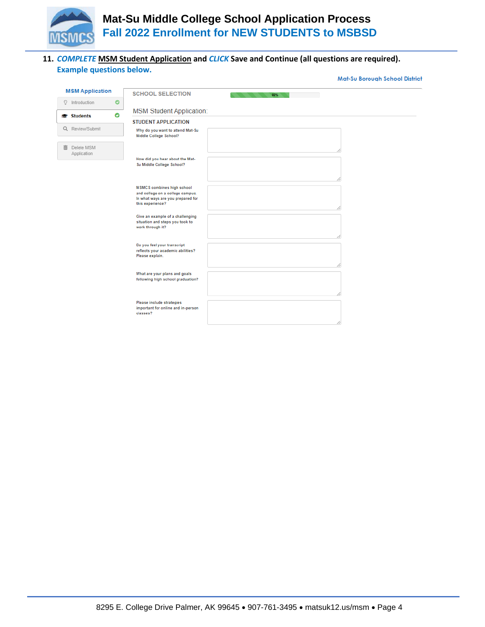

Mat-Su Borough School District

#### **11.** *COMPLETE* **MSM Student Application and** *CLICK* **Save and Continue (all questions are required). Example questions below.**

| <b>MSM Application</b>                | <b>SCHOOL SELECTION</b><br>66%                                                                                                 |
|---------------------------------------|--------------------------------------------------------------------------------------------------------------------------------|
| $\bullet$<br>O Introduction           |                                                                                                                                |
| $\bullet$<br><b>facebook</b> Students | <b>MSM Student Application:</b>                                                                                                |
|                                       | <b>STUDENT APPLICATION</b>                                                                                                     |
| Q Review/Submit                       | Why do you want to attend Mat-Su<br>Middle College School?                                                                     |
| Delete MSM<br>而<br>Application        |                                                                                                                                |
|                                       | How did you hear about the Mat-<br>Su Middle College School?                                                                   |
|                                       |                                                                                                                                |
|                                       | <b>MSMCS</b> combines high school<br>and college on a college campus.<br>In what ways are you prepared for<br>this experience? |
|                                       | Give an example of a challenging<br>situation and steps you took to<br>work through it?                                        |
|                                       | Do you feel your transcript<br>reflects your academic abilities?<br>Please explain.                                            |
|                                       | What are your plans and goals<br>following high school graduation?                                                             |
|                                       | Please include strategies<br>important for online and in-person<br>classes?                                                    |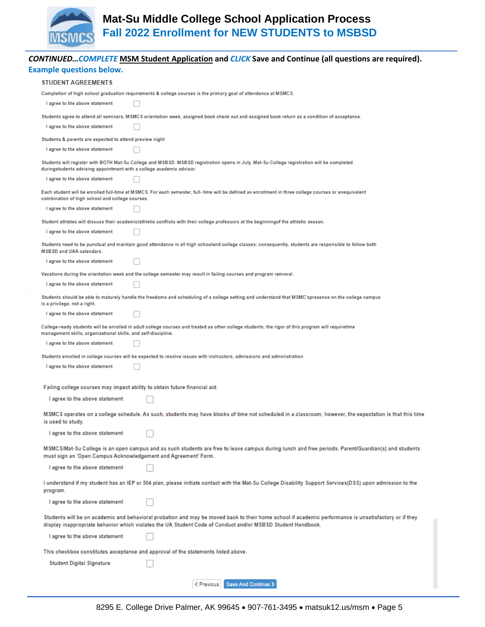

|                                | <b>CONTINUED COMPLETE MSM Student Application and CLICK Save and Continue (all questions are required).</b>                                                                                                                                                          |  |  |  |  |
|--------------------------------|----------------------------------------------------------------------------------------------------------------------------------------------------------------------------------------------------------------------------------------------------------------------|--|--|--|--|
|                                | <b>Example questions below.</b>                                                                                                                                                                                                                                      |  |  |  |  |
|                                | <b>STUDENT AGREEMENTS</b>                                                                                                                                                                                                                                            |  |  |  |  |
|                                | Completion of high school graduation requirements & college courses is the primary goal of attendance at MSMCS.                                                                                                                                                      |  |  |  |  |
|                                | I agree to the above statement                                                                                                                                                                                                                                       |  |  |  |  |
|                                | Students agree to attend all seminars, MSMCS orientation week, assigned book check out and assigned book return as a condition of acceptance.                                                                                                                        |  |  |  |  |
|                                | I agree to the above statement                                                                                                                                                                                                                                       |  |  |  |  |
|                                | Students & parents are expected to attend preview night                                                                                                                                                                                                              |  |  |  |  |
|                                | I agree to the above statement                                                                                                                                                                                                                                       |  |  |  |  |
|                                | Students will register with BOTH Mat-Su College and MSBSD. MSBSD registration opens in July. Mat-Su College registration will be completed<br>duringstudents advising appointment with a college academic advisor.                                                   |  |  |  |  |
|                                | I agree to the above statement                                                                                                                                                                                                                                       |  |  |  |  |
|                                | Each student will be enrolled full-time at MSMCS. For each semester, full- time will be defined as enrollment in three college courses or anequivalent<br>combination of high school and college courses.                                                            |  |  |  |  |
|                                | I agree to the above statement                                                                                                                                                                                                                                       |  |  |  |  |
|                                | Student athletes will discuss their academic/athletic conflicts with their college professors at the beginningof the athletic season.                                                                                                                                |  |  |  |  |
|                                | I agree to the above statement                                                                                                                                                                                                                                       |  |  |  |  |
|                                | Students need to be punctual and maintain good attendance in all high schooland college classes; consequently, students are responsible to follow both<br><b>MSBSD and UAA calendars.</b>                                                                            |  |  |  |  |
|                                | I agree to the above statement                                                                                                                                                                                                                                       |  |  |  |  |
|                                | Vacations during the orientation week and the college semester may result in failing courses and program removal.                                                                                                                                                    |  |  |  |  |
|                                | I agree to the above statement                                                                                                                                                                                                                                       |  |  |  |  |
|                                | Students should be able to maturely handle the freedoms and scheduling of a college setting and understand that MSMC'spresence on the college campus<br>is a privilege, not a right.                                                                                 |  |  |  |  |
|                                | I agree to the above statement                                                                                                                                                                                                                                       |  |  |  |  |
|                                | College-ready students will be enrolled in adult college courses and treated as other college students: the rigor of this program will requiretime<br>management skills, organizational skills, and self-discipline.                                                 |  |  |  |  |
|                                | I agree to the above statement                                                                                                                                                                                                                                       |  |  |  |  |
|                                | Students enrolled in college courses will be expected to resolve issues with instructors, admissions and administration.                                                                                                                                             |  |  |  |  |
|                                | I agree to the above statement                                                                                                                                                                                                                                       |  |  |  |  |
|                                |                                                                                                                                                                                                                                                                      |  |  |  |  |
|                                | Failing college courses may impact ability to obtain future financial aid.                                                                                                                                                                                           |  |  |  |  |
|                                | I agree to the above statement                                                                                                                                                                                                                                       |  |  |  |  |
|                                | MSMCS operates on a college schedule. As such, students may have blocks of time not scheduled in a classroom; however, the expectation is that this time<br>is used to study.                                                                                        |  |  |  |  |
|                                | I agree to the above statement                                                                                                                                                                                                                                       |  |  |  |  |
|                                | MSMCS/Mat-Su College is an open campus and as such students are free to leave campus during lunch and free periods. Parent/Guardian(s) and students<br>must sign an 'Open Campus Acknowledgement and Agreement' Form.                                                |  |  |  |  |
|                                | I agree to the above statement                                                                                                                                                                                                                                       |  |  |  |  |
|                                | I understand if my student has an IEP or 504 plan, please initiate contact with the Mat-Su College Disability Support Services(DSS) upon admission to the<br>program.                                                                                                |  |  |  |  |
|                                | I agree to the above statement                                                                                                                                                                                                                                       |  |  |  |  |
|                                | Students will be on academic and behavioral probation and may be moved back to their home school if academic performance is unsatisfactory or if they<br>display inappropriate behavior which violates the UA Student Code of Conduct and/or MSBSD Student Handbook. |  |  |  |  |
| I agree to the above statement |                                                                                                                                                                                                                                                                      |  |  |  |  |
|                                | This checkbox constitutes acceptance and approval of the statements listed above.                                                                                                                                                                                    |  |  |  |  |
|                                | <b>Student Digital Signature</b>                                                                                                                                                                                                                                     |  |  |  |  |
|                                |                                                                                                                                                                                                                                                                      |  |  |  |  |
|                                | <b>Elevious</b> Save And Continue >                                                                                                                                                                                                                                  |  |  |  |  |